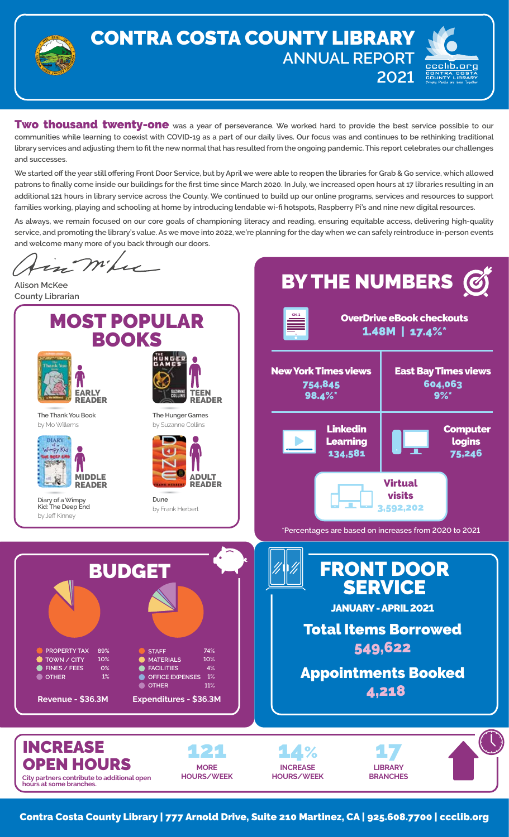

## CONTRA COSTA COUNTY LIBRARY **ANNUAL REPORT 2021**



**Two thousand twenty-one** was a year of perseverance. We worked hard to provide the best service possible to our **communities while learning to coexist with COVID-19 as a part of our daily lives. Our focus was and continues to be rethinking traditional library services and adjusting them to fit the new normal that has resulted from the ongoing pandemic. This report celebrates our challenges and successes.**

**We started off the year still offering Front Door Service, but by April we were able to reopen the libraries for Grab & Go service, which allowed patrons to finally come inside our buildings for the first time since March 2020. In July, we increased open hours at 17 libraries resulting in an additional 121 hours in library service across the County. We continued to build up our online programs, services and resources to support families working, playing and schooling at home by introducing lendable wi-fi hotspots, Raspberry Pi's and nine new digital resources.**

**As always, we remain focused on our core goals of championing literacy and reading, ensuring equitable access, delivering high-quality service, and promoting the library's value. As we move into 2022, we're planning for the day when we can safely reintroduce in-person events and welcome many more of you back through our doors.**

in mike BY THE NUMBERS  $\mathcal G$ **Alison McKee County Librarian** MOST POPULAR OverDrive eBook checkouts CH. 1 1.48M | 17.4%\* BOOKS **UNGER** New York Times views East Bay Times views 604,063 754,845 EARLY TEEN **THEN** 98.4%\* 9%\* READER READER **The Thank You Book The Hunger Games** by Mo Willems by Suzanne Collins Linkedin Computer DIARY **Learning** logins 134,581 75,246 MIDDLE ADULT Virtual READER READER visits **Dune Diary of a Wimpy Kid: The Deep End** 3,592,202 by Frank Herbert by Jeff Kinney **\*Percentages are based on increases from 2020 to 2021** FRONT DOOR **BUDGET** SERVICE JANUARY - APRIL 2021 Total Items Borrowed 549,622 **PROPERTY TAX 89% STAFF 74% MATERIALS 10% 10% TOWN / CITY**  $\bullet$ **0% FACILITIES 4%** Appointments Booked **FINES / FEES OTHER 1% OFFICE EXPENSES 1% OTHER 11%** 4,218 **Revenue - \$36.3M Expenditures - \$36.3M** INCREASE 121 14% 17 OPEN HOURS **MORE INCREASE LIBRARY HOURS/WEEK HOURS/WEEK BRANCHES City partners contribute to additional open hours at some branches.**

Contra Costa County Library | 777 Arnold Drive, Suite 210 Martinez, CA | 925.608.7700 | ccclib.org